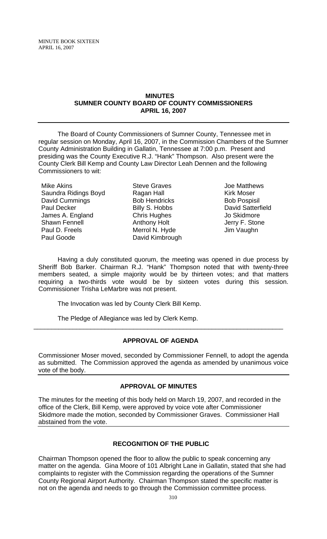#### **MINUTES SUMNER COUNTY BOARD OF COUNTY COMMISSIONERS APRIL 16, 2007**

The Board of County Commissioners of Sumner County, Tennessee met in regular session on Monday, April 16, 2007, in the Commission Chambers of the Sumner County Administration Building in Gallatin, Tennessee at 7:00 p.m. Present and presiding was the County Executive R.J. "Hank" Thompson. Also present were the County Clerk Bill Kemp and County Law Director Leah Dennen and the following Commissioners to wit:

Mike Akins Saundra Ridings Boyd David Cummings Paul Decker James A. England Shawn Fennell Paul D. Freels Paul Goode

Steve Graves Ragan Hall Bob Hendricks Billy S. Hobbs Chris Hughes Anthony Holt Merrol N. Hyde David Kimbrough

Joe Matthews Kirk Moser Bob Pospisil David Satterfield Jo Skidmore Jerry F. Stone Jim Vaughn

Having a duly constituted quorum, the meeting was opened in due process by Sheriff Bob Barker. Chairman R.J. "Hank" Thompson noted that with twenty-three members seated, a simple majority would be by thirteen votes; and that matters requiring a two-thirds vote would be by sixteen votes during this session. Commissioner Trisha LeMarbre was not present.

The Invocation was led by County Clerk Bill Kemp.

The Pledge of Allegiance was led by Clerk Kemp.

## **APPROVAL OF AGENDA**

\_\_\_\_\_\_\_\_\_\_\_\_\_\_\_\_\_\_\_\_\_\_\_\_\_\_\_\_\_\_\_\_\_\_\_\_\_\_\_\_\_\_\_\_\_\_\_\_\_\_\_\_\_\_\_\_\_\_\_\_\_\_\_\_\_\_\_\_\_\_

Commissioner Moser moved, seconded by Commissioner Fennell, to adopt the agenda as submitted. The Commission approved the agenda as amended by unanimous voice vote of the body.

## **APPROVAL OF MINUTES**

The minutes for the meeting of this body held on March 19, 2007, and recorded in the office of the Clerk, Bill Kemp, were approved by voice vote after Commissioner Skidmore made the motion, seconded by Commissioner Graves. Commissioner Hall abstained from the vote.

## **RECOGNITION OF THE PUBLIC**

Chairman Thompson opened the floor to allow the public to speak concerning any matter on the agenda. Gina Moore of 101 Albright Lane in Gallatin, stated that she had complaints to register with the Commission regarding the operations of the Sumner County Regional Airport Authority. Chairman Thompson stated the specific matter is not on the agenda and needs to go through the Commission committee process.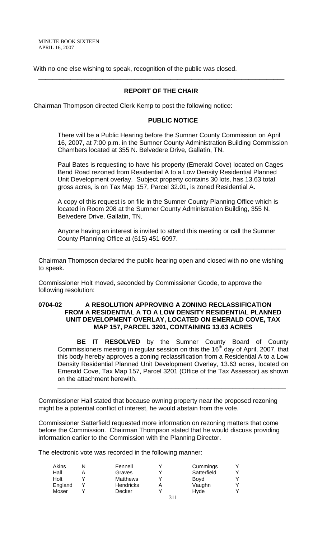With no one else wishing to speak, recognition of the public was closed.

## **REPORT OF THE CHAIR**

\_\_\_\_\_\_\_\_\_\_\_\_\_\_\_\_\_\_\_\_\_\_\_\_\_\_\_\_\_\_\_\_\_\_\_\_\_\_\_\_\_\_\_\_\_\_\_\_\_\_\_\_\_\_\_\_\_\_\_\_\_\_\_\_\_\_\_\_\_

Chairman Thompson directed Clerk Kemp to post the following notice:

#### **PUBLIC NOTICE**

There will be a Public Hearing before the Sumner County Commission on April 16, 2007, at 7:00 p.m. in the Sumner County Administration Building Commission Chambers located at 355 N. Belvedere Drive, Gallatin, TN.

Paul Bates is requesting to have his property (Emerald Cove) located on Cages Bend Road rezoned from Residential A to a Low Density Residential Planned Unit Development overlay. Subject property contains 30 lots, has 13.63 total gross acres, is on Tax Map 157, Parcel 32.01, is zoned Residential A.

A copy of this request is on file in the Sumner County Planning Office which is located in Room 208 at the Sumner County Administration Building, 355 N. Belvedere Drive, Gallatin, TN.

Anyone having an interest is invited to attend this meeting or call the Sumner County Planning Office at (615) 451-6097.

\_\_\_\_\_\_\_\_\_\_\_\_\_\_\_\_\_\_\_\_\_\_\_\_\_\_\_\_\_\_\_\_\_\_\_\_\_\_\_\_\_\_\_\_\_\_\_\_\_\_\_\_\_\_\_\_\_\_\_\_\_\_\_\_

Chairman Thompson declared the public hearing open and closed with no one wishing to speak.

Commissioner Holt moved, seconded by Commissioner Goode, to approve the following resolution:

#### **0704-02 A RESOLUTION APPROVING A ZONING RECLASSIFICATION FROM A RESIDENTIAL A TO A LOW DENSITY RESIDENTIAL PLANNED UNIT DEVELOPMENT OVERLAY, LOCATED ON EMERALD COVE, TAX MAP 157, PARCEL 3201, CONTAINING 13.63 ACRES**

**BE IT RESOLVED** by the Sumner County Board of County Commissioners meeting in regular session on this the  $16<sup>th</sup>$  day of April, 2007, that this body hereby approves a zoning reclassification from a Residential A to a Low Density Residential Planned Unit Development Overlay, 13.63 acres, located on Emerald Cove, Tax Map 157, Parcel 3201 (Office of the Tax Assessor) as shown on the attachment herewith.

**\_\_\_\_\_\_\_\_\_\_\_\_\_\_\_\_\_\_\_\_\_\_\_\_\_\_\_\_\_\_\_\_\_\_\_\_\_\_\_\_\_\_\_\_\_\_\_\_\_\_\_\_\_\_\_\_\_\_\_\_\_\_\_\_**

Commissioner Hall stated that because owning property near the proposed rezoning might be a potential conflict of interest, he would abstain from the vote.

Commissioner Satterfield requested more information on rezoning matters that come before the Commission. Chairman Thompson stated that he would discuss providing information earlier to the Commission with the Planning Director.

The electronic vote was recorded in the following manner:

| Akins   | Fennell          |     | Cummings    |   |
|---------|------------------|-----|-------------|---|
| Hall    | Graves           |     | Satterfield | v |
| Holt    | <b>Matthews</b>  |     | Boyd        |   |
| England | <b>Hendricks</b> |     | Vaughn      | v |
| Moser   | Decker           |     | Hyde        | v |
|         |                  | 211 |             |   |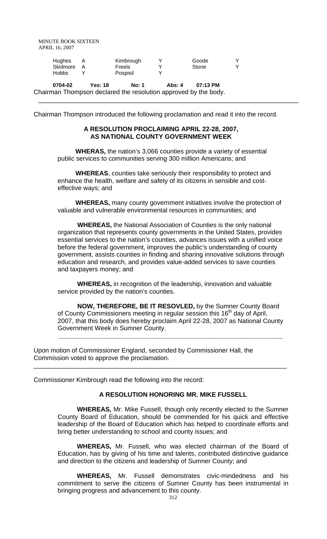| Hughes     | Kimbrough | Goode |  |
|------------|-----------|-------|--|
| Skidmore A | Freels    | Stone |  |
| Hobbs      | Pospisil  |       |  |

**0704-02 Yes: 18 No: 1 Abs: 4 07:13 PM** Chairman Thompson declared the resolution approved by the body.

Chairman Thompson introduced the following proclamation and read it into the record.

### **A RESOLUTION PROCLAIMING APRIL 22-28, 2007, AS NATIONAL COUNTY GOVERNMENT WEEK**

\_\_\_\_\_\_\_\_\_\_\_\_\_\_\_\_\_\_\_\_\_\_\_\_\_\_\_\_\_\_\_\_\_\_\_\_\_\_\_\_\_\_\_\_\_\_\_\_\_\_\_\_\_\_\_\_\_\_\_\_\_\_\_\_\_\_\_\_\_\_\_\_\_

 **WHERAS,** the nation's 3,066 counties provide a variety of essential public services to communities serving 300 million Americans; and

 **WHEREAS**, counties take seriously their responsibility to protect and enhance the health, welfare and safety of its citizens in sensible and costeffective ways; and

 **WHEREAS,** many county government initiatives involve the protection of valuable and vulnerable environmental resources in communities; and

 **WHEREAS,** the National Association of Counties is the only national organization that represents county governments in the United States, provides essential services to the nation's counties, advances issues with a unified voice before the federal government, improves the public's understanding of county government, assists counties in finding and sharing innovative solutions through education and research, and provides value-added services to save counties and taxpayers money; and

 **WHEREAS,** in recognition of the leadership, innovation and valuable service provided by the nation's counties.

 **NOW, THEREFORE, BE IT RESOVLED,** by the Sumner County Board of County Commissioners meeting in regular session this  $16<sup>th</sup>$  day of April, 2007, that this body does hereby proclaim April 22-28, 2007 as National County Government Week in Sumner County.

 **\_\_\_\_\_\_\_\_\_\_\_\_\_\_\_\_\_\_\_\_\_\_\_\_\_\_\_\_\_\_\_\_\_\_\_\_\_\_\_\_\_\_\_\_\_\_\_\_\_\_\_\_\_\_\_\_\_\_\_\_\_\_\_**

\_\_\_\_\_\_\_\_\_\_\_\_\_\_\_\_\_\_\_\_\_\_\_\_\_\_\_\_\_\_\_\_\_\_\_\_\_\_\_\_\_\_\_\_\_\_\_\_\_\_\_\_\_\_\_\_\_\_\_\_\_\_\_\_\_\_\_\_\_\_\_

Upon motion of Commissioner England, seconded by Commissioner Hall, the Commission voted to approve the proclamation.

Commissioner Kimbrough read the following into the record:

## **A RESOLUTION HONORING MR. MIKE FUSSELL**

**WHEREAS,** Mr. Mike Fussell, though only recently elected to the Sumner County Board of Education, should be commended for his quick and effective leadership of the Board of Education which has helped to coordinate efforts and bring better understanding to school and county issues; and

**WHEREAS,** Mr. Fussell, who was elected chairman of the Board of Education, has by giving of his time and talents, contributed distinctive guidance and direction to the citizens and leadership of Sumner County; and

**WHEREAS,** Mr. Fussell demonstrates civic-mindedness and his commitment to serve the citizens of Sumner County has been instrumental in bringing progress and advancement to this county.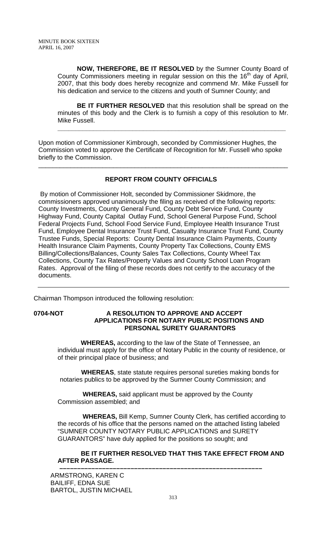**NOW, THEREFORE, BE IT RESOLVED** by the Sumner County Board of County Commissioners meeting in regular session on this the 16<sup>th</sup> day of April, 2007, that this body does hereby recognize and commend Mr. Mike Fussell for his dedication and service to the citizens and youth of Sumner County; and

**BE IT FURTHER RESOLVED** that this resolution shall be spread on the minutes of this body and the Clerk is to furnish a copy of this resolution to Mr. Mike Fussell.

**\_\_\_\_\_\_\_\_\_\_\_\_\_\_\_\_\_\_\_\_\_\_\_\_\_\_\_\_\_\_\_\_\_\_\_\_\_\_\_\_\_\_\_\_\_\_\_\_\_\_\_\_\_\_\_\_\_\_\_\_\_\_\_\_**

Upon motion of Commissioner Kimbrough, seconded by Commissioner Hughes, the Commission voted to approve the Certificate of Recognition for Mr. Fussell who spoke briefly to the Commission.

## **REPORT FROM COUNTY OFFICIALS**

\_\_\_\_\_\_\_\_\_\_\_\_\_\_\_\_\_\_\_\_\_\_\_\_\_\_\_\_\_\_\_\_\_\_\_\_\_\_\_\_\_\_\_\_\_\_\_\_\_\_\_\_\_\_\_\_\_\_\_\_\_\_\_\_\_\_\_\_\_\_

 By motion of Commissioner Holt, seconded by Commissioner Skidmore, the commissioners approved unanimously the filing as received of the following reports: County Investments, County General Fund, County Debt Service Fund, County Highway Fund, County Capital Outlay Fund, School General Purpose Fund, School Federal Projects Fund, School Food Service Fund, Employee Health Insurance Trust Fund, Employee Dental Insurance Trust Fund, Casualty Insurance Trust Fund, County Trustee Funds, Special Reports: County Dental Insurance Claim Payments, County Health Insurance Claim Payments, County Property Tax Collections, County EMS Billing/Collections/Balances, County Sales Tax Collections, County Wheel Tax Collections, County Tax Rates/Property Values and County School Loan Program Rates. Approval of the filing of these records does not certify to the accuracy of the documents.

Chairman Thompson introduced the following resolution:

## **0704-NOT A RESOLUTION TO APPROVE AND ACCEPT APPLICATIONS FOR NOTARY PUBLIC POSITIONS AND PERSONAL SURETY GUARANTORS**

 **WHEREAS,** according to the law of the State of Tennessee, an individual must apply for the office of Notary Public in the county of residence, or of their principal place of business; and

 **WHEREAS**, state statute requires personal sureties making bonds for notaries publics to be approved by the Sumner County Commission; and

 **WHEREAS,** said applicant must be approved by the County Commission assembled; and

 **WHEREAS,** Bill Kemp, Sumner County Clerk, has certified according to the records of his office that the persons named on the attached listing labeled "SUMNER COUNTY NOTARY PUBLIC APPLICATIONS and SURETY GUARANTORS" have duly applied for the positions so sought; and

## **BE IT FURTHER RESOLVED THAT THIS TAKE EFFECT FROM AND AFTER PASSAGE. –––––––––––––––––––––––––––––––––––––––––––––––––––––––––**

ARMSTRONG, KAREN C BAILIFF, EDNA SUE BARTOL, JUSTIN MICHAEL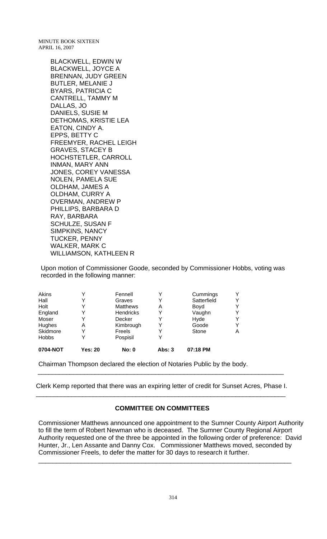> BLACKWELL, EDWIN W BLACKWELL, JOYCE A BRENNAN, JUDY GREEN BUTLER, MELANIE J BYARS, PATRICIA C CANTRELL, TAMMY M DALLAS, JO DANIELS, SUSIE M DETHOMAS, KRISTIE LEA EATON, CINDY A. EPPS, BETTY C FREEMYER, RACHEL LEIGH GRAVES, STACEY B HOCHSTETLER, CARROLL INMAN, MARY ANN JONES, COREY VANESSA NOLEN, PAMELA SUE OLDHAM, JAMES A OLDHAM, CURRY A OVERMAN, ANDREW P PHILLIPS, BARBARA D RAY, BARBARA SCHULZE, SUSAN F SIMPKINS, NANCY TUCKER, PENNY WALKER, MARK C WILLIAMSON, KATHLEEN R

Upon motion of Commissioner Goode, seconded by Commissioner Hobbs, voting was recorded in the following manner:

| 0704-NOT     | <b>Yes: 20</b> | <b>No: 0</b>     | <b>Abs: 3</b> | 07:18 PM    |   |
|--------------|----------------|------------------|---------------|-------------|---|
| <b>Hobbs</b> | Y              | Pospisil         |               |             |   |
| Skidmore     |                | Freels           |               | Stone       | Α |
| Hughes       | Α              | Kimbrough        |               | Goode       | Y |
| Moser        | Y              | Decker           | Y             | Hyde        | Υ |
| England      |                | <b>Hendricks</b> |               | Vaughn      | Y |
| Holt         |                | <b>Matthews</b>  | Α             | Boyd        | Υ |
| Hall         |                | Graves           |               | Satterfield | Υ |
| Akins        |                | Fennell          |               | Cummings    | Y |

Chairman Thompson declared the election of Notaries Public by the body.

Clerk Kemp reported that there was an expiring letter of credit for Sunset Acres, Phase I. \_\_\_\_\_\_\_\_\_\_\_\_\_\_\_\_\_\_\_\_\_\_\_\_\_\_\_\_\_\_\_\_\_\_\_\_\_\_\_\_\_\_\_\_\_\_\_\_\_\_\_\_\_\_\_\_\_\_\_\_\_\_\_\_\_\_\_\_\_\_

\_\_\_\_\_\_\_\_\_\_\_\_\_\_\_\_\_\_\_\_\_\_\_\_\_\_\_\_\_\_\_\_\_\_\_\_\_\_\_\_\_\_\_\_\_\_\_\_\_\_\_\_\_\_\_\_\_\_\_\_\_\_\_\_\_\_\_\_\_

### **COMMITTEE ON COMMITTEES**

Commissioner Matthews announced one appointment to the Sumner County Airport Authority to fill the term of Robert Newman who is deceased. The Sumner County Regional Airport Authority requested one of the three be appointed in the following order of preference: David Hunter, Jr., Len Assante and Danny Cox. Commissioner Matthews moved, seconded by Commissioner Freels, to defer the matter for 30 days to research it further.

\_\_\_\_\_\_\_\_\_\_\_\_\_\_\_\_\_\_\_\_\_\_\_\_\_\_\_\_\_\_\_\_\_\_\_\_\_\_\_\_\_\_\_\_\_\_\_\_\_\_\_\_\_\_\_\_\_\_\_\_\_\_\_\_\_\_\_\_\_\_\_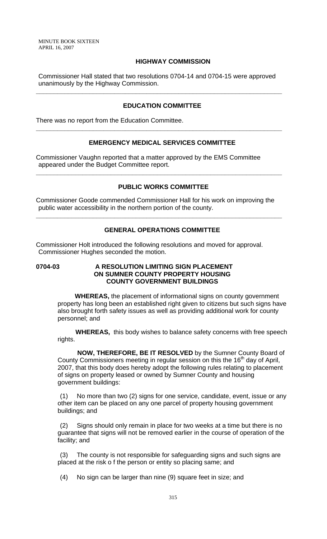### **HIGHWAY COMMISSION**

Commissioner Hall stated that two resolutions 0704-14 and 0704-15 were approved unanimously by the Highway Commission.

**\_\_\_\_\_\_\_\_\_\_\_\_\_\_\_\_\_\_\_\_\_\_\_\_\_\_\_\_\_\_\_\_\_\_\_\_\_\_\_\_\_\_\_\_\_\_\_\_\_\_\_\_\_\_\_\_\_\_\_\_\_\_\_\_\_\_\_\_\_**

#### **EDUCATION COMMITTEE**

There was no report from the Education Committee.

### **EMERGENCY MEDICAL SERVICES COMMITTEE**

**\_\_\_\_\_\_\_\_\_\_\_\_\_\_\_\_\_\_\_\_\_\_\_\_\_\_\_\_\_\_\_\_\_\_\_\_\_\_\_\_\_\_\_\_\_\_\_\_\_\_\_\_\_\_\_\_\_\_\_\_\_\_\_\_\_\_\_\_\_**

Commissioner Vaughn reported that a matter approved by the EMS Committee appeared under the Budget Committee report.

#### **PUBLIC WORKS COMMITTEE**

**\_\_\_\_\_\_\_\_\_\_\_\_\_\_\_\_\_\_\_\_\_\_\_\_\_\_\_\_\_\_\_\_\_\_\_\_\_\_\_\_\_\_\_\_\_\_\_\_\_\_\_\_\_\_\_\_\_\_\_\_\_\_\_\_\_\_\_\_\_**

Commissioner Goode commended Commissioner Hall for his work on improving the public water accessibility in the northern portion of the county.

**\_\_\_\_\_\_\_\_\_\_\_\_\_\_\_\_\_\_\_\_\_\_\_\_\_\_\_\_\_\_\_\_\_\_\_\_\_\_\_\_\_\_\_\_\_\_\_\_\_\_\_\_\_\_\_\_\_\_\_\_\_\_\_\_\_\_\_\_\_**

## **GENERAL OPERATIONS COMMITTEE**

Commissioner Holt introduced the following resolutions and moved for approval. Commissioner Hughes seconded the motion.

## **0704-03 A RESOLUTION LIMITING SIGN PLACEMENT ON SUMNER COUNTY PROPERTY HOUSING COUNTY GOVERNMENT BUILDINGS**

 **WHEREAS,** the placement of informational signs on county government property has long been an established right given to citizens but such signs have also brought forth safety issues as well as providing additional work for county personnel; and

 **WHEREAS,** this body wishes to balance safety concerns with free speech rights.

 **NOW, THEREFORE, BE IT RESOLVED** by the Sumner County Board of County Commissioners meeting in regular session on this the  $16<sup>th</sup>$  day of April, 2007, that this body does hereby adopt the following rules relating to placement of signs on property leased or owned by Sumner County and housing government buildings:

(1) No more than two (2) signs for one service, candidate, event, issue or any other item can be placed on any one parcel of property housing government buildings; and

(2) Signs should only remain in place for two weeks at a time but there is no guarantee that signs will not be removed earlier in the course of operation of the facility; and

(3) The county is not responsible for safeguarding signs and such signs are placed at the risk o f the person or entity so placing same; and

(4) No sign can be larger than nine (9) square feet in size; and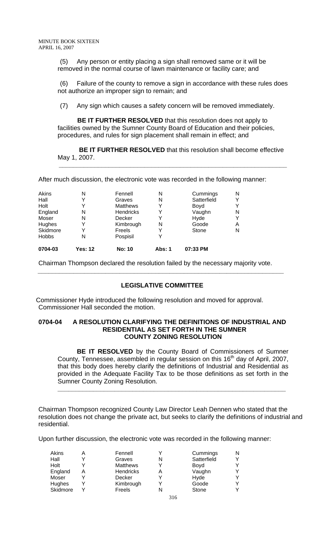(5) Any person or entity placing a sign shall removed same or it will be removed in the normal course of lawn maintenance or facility care; and

(6) Failure of the county to remove a sign in accordance with these rules does not authorize an improper sign to remain; and

(7) Any sign which causes a safety concern will be removed immediately.

 **BE IT FURTHER RESOLVED** that this resolution does not apply to facilities owned by the Sumner County Board of Education and their policies, procedures, and rules for sign placement shall remain in effect; and

 **BE IT FURTHER RESOLVED** that this resolution shall become effective May 1, 2007.

 **\_\_\_\_\_\_\_\_\_\_\_\_\_\_\_\_\_\_\_\_\_\_\_\_\_\_\_\_\_\_\_\_\_\_\_\_\_\_\_\_\_\_\_\_\_\_\_\_\_\_\_\_\_\_\_\_\_\_\_\_\_\_\_\_**

After much discussion, the electronic vote was recorded in the following manner:

| N | Pospisil        | Y |             |   |
|---|-----------------|---|-------------|---|
| v | Freels          |   | Stone       | N |
| v | Kimbrough       | N | Goode       | Α |
| N | Decker          | Y | Hyde        | Y |
| N | Hendricks       | Y | Vaughn      | N |
|   | <b>Matthews</b> |   | Boyd        | Y |
| v | Graves          | N | Satterfield | Y |
| N | Fennell         | N | Cummings    | N |
|   |                 |   |             |   |

Chairman Thompson declared the resolution failed by the necessary majority vote.

### **LEGISLATIVE COMMITTEE**

 **\_\_\_\_\_\_\_\_\_\_\_\_\_\_\_\_\_\_\_\_\_\_\_\_\_\_\_\_\_\_\_\_\_\_\_\_\_\_\_\_\_\_\_\_\_\_\_\_\_\_\_\_\_\_\_\_\_\_\_\_\_\_\_\_\_\_\_\_\_**

Commissioner Hyde introduced the following resolution and moved for approval. Commissioner Hall seconded the motion.

#### **0704-04 A RESOLUTION CLARIFYING THE DEFINITIONS OF INDUSTRIAL AND RESIDENTIAL AS SET FORTH IN THE SUMNER COUNTY ZONING RESOLUTION**

**BE IT RESOLVED** by the County Board of Commissioners of Sumner County, Tennessee, assembled in regular session on this  $16<sup>th</sup>$  day of April, 2007, that this body does hereby clarify the definitions of Industrial and Residential as provided in the Adequate Facility Tax to be those definitions as set forth in the Sumner County Zoning Resolution.

**\_\_\_\_\_\_\_\_\_\_\_\_\_\_\_\_\_\_\_\_\_\_\_\_\_\_\_\_\_\_\_\_\_\_\_\_\_\_\_\_\_\_\_\_\_\_\_\_\_\_\_\_\_\_\_\_\_\_\_\_\_\_\_\_**

Chairman Thompson recognized County Law Director Leah Dennen who stated that the resolution does not change the private act, but seeks to clarify the definitions of industrial and residential.

Upon further discussion, the electronic vote was recorded in the following manner:

| Akins    | Α | Fennell         |   | Cummings    | N |
|----------|---|-----------------|---|-------------|---|
| Hall     |   | Graves          |   | Satterfield | Υ |
| Holt     |   | <b>Matthews</b> | v | Boyd        | Y |
| England  | Α | Hendricks       | Α | Vaughn      | Y |
| Moser    |   | Decker          |   | Hyde        | Y |
| Hughes   |   | Kimbrough       |   | Goode       | Y |
| Skidmore |   | Freels          |   | Stone       | Y |
|          |   |                 |   |             |   |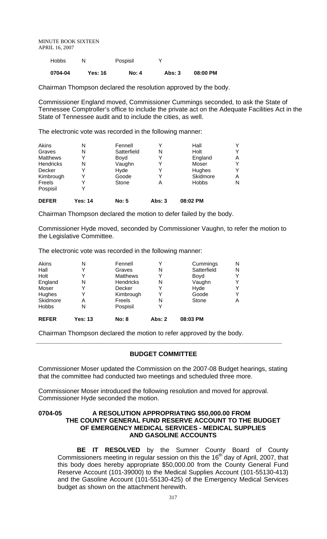| 0704-04 | Yes: 16 | <b>No: 4</b> | Abs: 3 | 08:00 PM |
|---------|---------|--------------|--------|----------|
| Hobbs   |         | Pospisil     |        |          |

Chairman Thompson declared the resolution approved by the body.

Commissioner England moved, Commissioner Cummings seconded, to ask the State of Tennessee Comptroller's office to include the private act on the Adequate Facilities Act in the State of Tennessee audit and to include the cities, as well.

The electronic vote was recorded in the following manner:

| Akins           | N       | Fennell      |               | Hall         |   |
|-----------------|---------|--------------|---------------|--------------|---|
| Graves          | N       | Satterfield  | N             | Holt         | Y |
| <b>Matthews</b> |         | Boyd         |               | England      | A |
| Hendricks       | N       | Vaughn       |               | Moser        | Y |
| Decker          |         | Hyde         |               | Hughes       | Y |
| Kimbrough       |         | Goode        |               | Skidmore     | Α |
| Freels          |         | Stone        | А             | <b>Hobbs</b> | N |
| Pospisil        |         |              |               |              |   |
| <b>DEFER</b>    | Yes: 14 | <b>No: 5</b> | <b>Abs: 3</b> | 08:02 PM     |   |

Chairman Thompson declared the motion to defer failed by the body.

Commissioner Hyde moved, seconded by Commissioner Vaughn, to refer the motion to the Legislative Committee.

The electronic vote was recorded in the following manner:

| Akins        | N              | Fennell         |               | Cummings    | N |
|--------------|----------------|-----------------|---------------|-------------|---|
| Hall         | v              | Graves          | N             | Satterfield | N |
| Holt         | v              | <b>Matthews</b> | Y             | Boyd        | Y |
| England      | N              | Hendricks       | N             | Vaughn      | Y |
| Moser        |                | Decker          |               | Hyde        | Y |
| Hughes       | v              | Kimbrough       | Y             | Goode       | Y |
| Skidmore     | Α              | Freels          | N             | Stone       | Α |
| <b>Hobbs</b> | N              | Pospisil        |               |             |   |
| <b>REFER</b> | <b>Yes: 13</b> | <b>No: 8</b>    | <b>Abs: 2</b> | 08:03 PM    |   |

Chairman Thompson declared the motion to refer approved by the body.

## **BUDGET COMMITTEE**

**\_\_\_\_\_\_\_\_\_\_\_\_\_\_\_\_\_\_\_\_\_\_\_\_\_\_\_\_\_\_\_\_\_\_\_\_\_\_\_\_\_\_\_\_\_\_\_\_\_\_\_\_\_\_\_\_\_\_\_\_\_\_\_\_\_\_\_\_\_**

Commissioner Moser updated the Commission on the 2007-08 Budget hearings, stating that the committee had conducted two meetings and scheduled three more.

Commissioner Moser introduced the following resolution and moved for approval. Commissioner Hyde seconded the motion.

#### **0704-05 A RESOLUTION APPROPRIATING \$50,000.00 FROM THE COUNTY GENERAL FUND RESERVE ACCOUNT TO THE BUDGET OF EMERGENCY MEDICAL SERVICES - MEDICAL SUPPLIES AND GASOLINE ACCOUNTS**

**BE IT RESOLVED** by the Sumner County Board of County Commissioners meeting in regular session on this the 16<sup>th</sup> day of April, 2007, that this body does hereby appropriate \$50,000.00 from the County General Fund Reserve Account (101-39000) to the Medical Supplies Account (101-55130-413) and the Gasoline Account (101-55130-425) of the Emergency Medical Services budget as shown on the attachment herewith.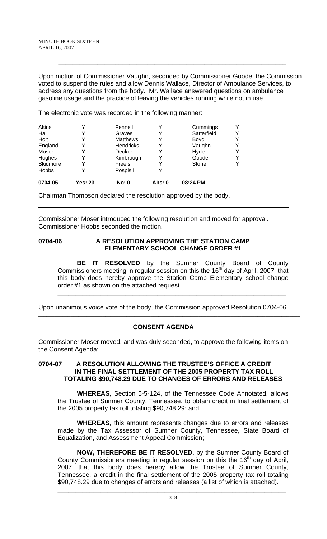Upon motion of Commissioner Vaughn, seconded by Commissioner Goode, the Commission voted to suspend the rules and allow Dennis Wallace, Director of Ambulance Services, to address any questions from the body. Mr. Wallace answered questions on ambulance gasoline usage and the practice of leaving the vehicles running while not in use.

 **\_\_\_\_\_\_\_\_\_\_\_\_\_\_\_\_\_\_\_\_\_\_\_\_\_\_\_\_\_\_\_\_\_\_\_\_\_\_\_\_\_\_\_\_\_\_\_\_\_\_\_\_\_\_\_\_\_\_\_\_\_\_\_\_**

The electronic vote was recorded in the following manner:

| 0704-05      | Yes: 23 | <b>No: 0</b>    | Abs: 0 | 08:24 PM    |   |
|--------------|---------|-----------------|--------|-------------|---|
| <b>Hobbs</b> |         | Pospisil        |        |             |   |
| Skidmore     |         | Freels          |        | Stone       | Y |
| Hughes       |         | Kimbrough       |        | Goode       | Y |
| Moser        |         | Decker          |        | Hyde        | Υ |
| England      |         | Hendricks       |        | Vaughn      | Y |
| Holt         |         | <b>Matthews</b> | Y      | Boyd        | Y |
| Hall         |         | Graves          |        | Satterfield | Υ |
| Akins        | ν       | Fennell         |        | Cummings    | Y |

Chairman Thompson declared the resolution approved by the body.

Commissioner Moser introduced the following resolution and moved for approval. Commissioner Hobbs seconded the motion.

### 0704-06 A RESOLUTION APPROVING THE STATION CAMP **ELEMENTARY SCHOOL CHANGE ORDER #1**

**BE IT RESOLVED** by the Sumner County Board of County Commissioners meeting in regular session on this the 16<sup>th</sup> day of April, 2007, that this body does hereby approve the Station Camp Elementary school change order #1 as shown on the attached request.

**\_\_\_\_\_\_\_\_\_\_\_\_\_\_\_\_\_\_\_\_\_\_\_\_\_\_\_\_\_\_\_\_\_\_\_\_\_\_\_\_\_\_\_\_\_\_\_\_\_\_\_\_\_\_\_\_\_\_\_\_\_\_\_\_**

 $\Box$ 

Upon unanimous voice vote of the body, the Commission approved Resolution 0704-06.

## **CONSENT AGENDA**

Commissioner Moser moved, and was duly seconded, to approve the following items on the Consent Agenda:

### **0704-07 A RESOLUTION ALLOWING THE TRUSTEE'S OFFICE A CREDIT IN THE FINAL SETTLEMENT OF THE 2005 PROPERTY TAX ROLL TOTALING \$90,748.29 DUE TO CHANGES OF ERRORS AND RELEASES**

**WHEREAS**, Section 5-5-124, of the Tennessee Code Annotated, allows the Trustee of Sumner County, Tennessee, to obtain credit in final settlement of the 2005 property tax roll totaling \$90,748.29; and

**WHEREAS**, this amount represents changes due to errors and releases made by the Tax Assessor of Sumner County, Tennessee, State Board of Equalization, and Assessment Appeal Commission;

**NOW, THEREFORE BE IT RESOLVED**, by the Sumner County Board of County Commissioners meeting in regular session on this the  $16<sup>th</sup>$  day of April, 2007, that this body does hereby allow the Trustee of Sumner County, Tennessee, a credit in the final settlement of the 2005 property tax roll totaling \$90,748.29 due to changes of errors and releases (a list of which is attached).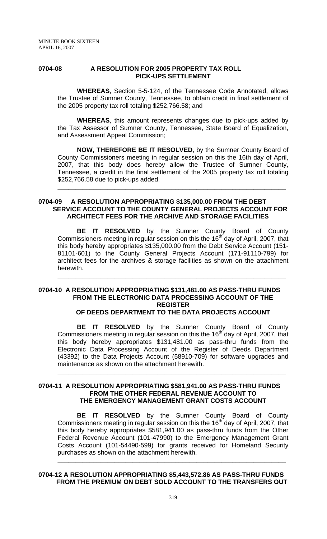#### **0704-08 A RESOLUTION FOR 2005 PROPERTY TAX ROLL PICK-UPS SETTLEMENT**

**WHEREAS**, Section 5-5-124, of the Tennessee Code Annotated, allows the Trustee of Sumner County, Tennessee, to obtain credit in final settlement of the 2005 property tax roll totaling \$252,766.58; and

**WHEREAS**, this amount represents changes due to pick-ups added by the Tax Assessor of Sumner County, Tennessee, State Board of Equalization, and Assessment Appeal Commission;

**NOW, THEREFORE BE IT RESOLVED**, by the Sumner County Board of County Commissioners meeting in regular session on this the 16th day of April, 2007, that this body does hereby allow the Trustee of Sumner County, Tennessee, a credit in the final settlement of the 2005 property tax roll totaling \$252,766.58 due to pick-ups added.

**\_\_\_\_\_\_\_\_\_\_\_\_\_\_\_\_\_\_\_\_\_\_\_\_\_\_\_\_\_\_\_\_\_\_\_\_\_\_\_\_\_\_\_\_\_\_\_\_\_\_\_\_\_\_\_\_\_\_\_\_\_\_\_\_**

## **0704-09 A RESOLUTION APPROPRIATING \$135,000.00 FROM THE DEBT SERVICE ACCOUNT TO THE COUNTY GENERAL PROJECTS ACCOUNT FOR ARCHITECT FEES FOR THE ARCHIVE AND STORAGE FACILITIES**

**BE IT RESOLVED** by the Sumner County Board of County Commissioners meeting in regular session on this the 16<sup>th</sup> day of April, 2007, that this body hereby appropriates \$135,000.00 from the Debt Service Account (151- 81101-601) to the County General Projects Account (171-91110-799) for architect fees for the archives & storage facilities as shown on the attachment herewith.

**\_\_\_\_\_\_\_\_\_\_\_\_\_\_\_\_\_\_\_\_\_\_\_\_\_\_\_\_\_\_\_\_\_\_\_\_\_\_\_\_\_\_\_\_\_\_\_\_\_\_\_\_\_\_\_\_\_\_\_\_\_\_\_\_**

#### **0704-10 A RESOLUTION APPROPRIATING \$131,481.00 AS PASS-THRU FUNDS FROM THE ELECTRONIC DATA PROCESSING ACCOUNT OF THE REGISTER OF DEEDS DEPARTMENT TO THE DATA PROJECTS ACCOUNT**

**BE IT RESOLVED** by the Sumner County Board of County Commissioners meeting in regular session on this the  $16<sup>th</sup>$  day of April, 2007, that this body hereby appropriates \$131,481.00 as pass-thru funds from the Electronic Data Processing Account of the Register of Deeds Department (43392) to the Data Projects Account (58910-709) for software upgrades and maintenance as shown on the attachment herewith.

**\_\_\_\_\_\_\_\_\_\_\_\_\_\_\_\_\_\_\_\_\_\_\_\_\_\_\_\_\_\_\_\_\_\_\_\_\_\_\_\_\_\_\_\_\_\_\_\_\_\_\_\_\_\_\_\_\_\_\_\_\_\_\_\_**

### **0704-11 A RESOLUTION APPROPRIATING \$581,941.00 AS PASS-THRU FUNDS FROM THE OTHER FEDERAL REVENUE ACCOUNT TO THE EMERGENCY MANAGEMENT GRANT COSTS ACCOUNT**

**BE IT RESOLVED** by the Sumner County Board of County Commissioners meeting in regular session on this the 16<sup>th</sup> day of April, 2007, that this body hereby appropriates \$581,941.00 as pass-thru funds from the Other Federal Revenue Account (101-47990) to the Emergency Management Grant Costs Account (101-54490-599) for grants received for Homeland Security purchases as shown on the attachment herewith.

**\_\_\_\_\_\_\_\_\_\_\_\_\_\_\_\_\_\_\_\_\_\_\_\_\_\_\_\_\_\_\_\_\_\_\_\_\_\_\_\_\_\_\_\_\_\_\_\_\_\_\_\_\_\_\_\_\_\_\_\_\_\_\_\_**

### **0704-12 A RESOLUTION APPROPRIATING \$5,443,572.86 AS PASS-THRU FUNDS FROM THE PREMIUM ON DEBT SOLD ACCOUNT TO THE TRANSFERS OUT**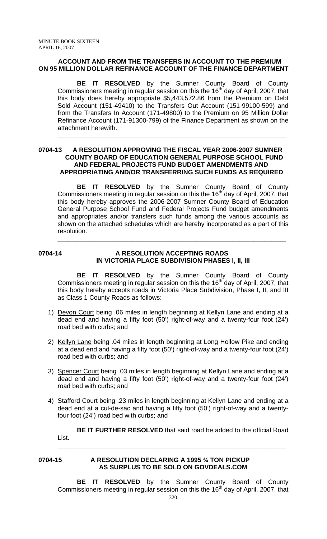## **ACCOUNT AND FROM THE TRANSFERS IN ACCOUNT TO THE PREMIUM ON 95 MILLION DOLLAR REFINANCE ACCOUNT OF THE FINANCE DEPARTMENT**

**BE IT RESOLVED** by the Sumner County Board of County Commissioners meeting in regular session on this the  $16<sup>th</sup>$  day of April, 2007, that this body does hereby appropriate \$5,443,572.86 from the Premium on Debt Sold Account (151-49410) to the Transfers Out Account (151-99100-599) and from the Transfers In Account (171-49800) to the Premium on 95 Million Dollar Refinance Account (171-91300-799) of the Finance Department as shown on the attachment herewith.

**\_\_\_\_\_\_\_\_\_\_\_\_\_\_\_\_\_\_\_\_\_\_\_\_\_\_\_\_\_\_\_\_\_\_\_\_\_\_\_\_\_\_\_\_\_\_\_\_\_\_\_\_\_\_\_\_\_\_\_\_\_\_\_\_**

## **0704-13 A RESOLUTION APPROVING THE FISCAL YEAR 2006-2007 SUMNER COUNTY BOARD OF EDUCATION GENERAL PURPOSE SCHOOL FUND AND FEDERAL PROJECTS FUND BUDGET AMENDMENTS AND APPROPRIATING AND/OR TRANSFERRING SUCH FUNDS AS REQUIRED**

**BE IT RESOLVED** by the Sumner County Board of County Commissioners meeting in regular session on this the 16<sup>th</sup> day of April, 2007, that this body hereby approves the 2006-2007 Sumner County Board of Education General Purpose School Fund and Federal Projects Fund budget amendments and appropriates and/or transfers such funds among the various accounts as shown on the attached schedules which are hereby incorporated as a part of this resolution.

**\_\_\_\_\_\_\_\_\_\_\_\_\_\_\_\_\_\_\_\_\_\_\_\_\_\_\_\_\_\_\_\_\_\_\_\_\_\_\_\_\_\_\_\_\_\_\_\_\_\_\_\_\_\_\_\_\_\_\_\_\_\_\_\_**

## **0704-14 A RESOLUTION ACCEPTING ROADS IN VICTORIA PLACE SUBDIVISION PHASES I, II, III**

**BE IT RESOLVED** by the Sumner County Board of County Commissioners meeting in regular session on this the 16<sup>th</sup> day of April, 2007, that this body hereby accepts roads in Victoria Place Subdivision, Phase I, II, and III as Class 1 County Roads as follows:

- 1) Devon Court being .06 miles in length beginning at Kellyn Lane and ending at a dead end and having a fifty foot (50') right-of-way and a twenty-four foot (24') road bed with curbs; and
- 2) Kellyn Lane being .04 miles in length beginning at Long Hollow Pike and ending at a dead end and having a fifty foot (50') right-of-way and a twenty-four foot (24') road bed with curbs; and
- 3) Spencer Court being .03 miles in length beginning at Kellyn Lane and ending at a dead end and having a fifty foot (50') right-of-way and a twenty-four foot (24') road bed with curbs; and
- 4) Stafford Court being .23 miles in length beginning at Kellyn Lane and ending at a dead end at a cul-de-sac and having a fifty foot (50') right-of-way and a twentyfour foot (24') road bed with curbs; and

**BE IT FURTHER RESOLVED** that said road be added to the official Road List. **\_\_\_\_\_\_\_\_\_\_\_\_\_\_\_\_\_\_\_\_\_\_\_\_\_\_\_\_\_\_\_\_\_\_\_\_\_\_\_\_\_\_\_\_\_\_\_\_\_\_\_\_\_\_\_\_\_\_\_\_\_\_\_\_**

#### **0704-15 A RESOLUTION DECLARING A 1995 ¾ TON PICKUP AS SURPLUS TO BE SOLD ON GOVDEALS.COM**

**BE IT RESOLVED** by the Sumner County Board of County Commissioners meeting in regular session on this the 16<sup>th</sup> day of April, 2007, that